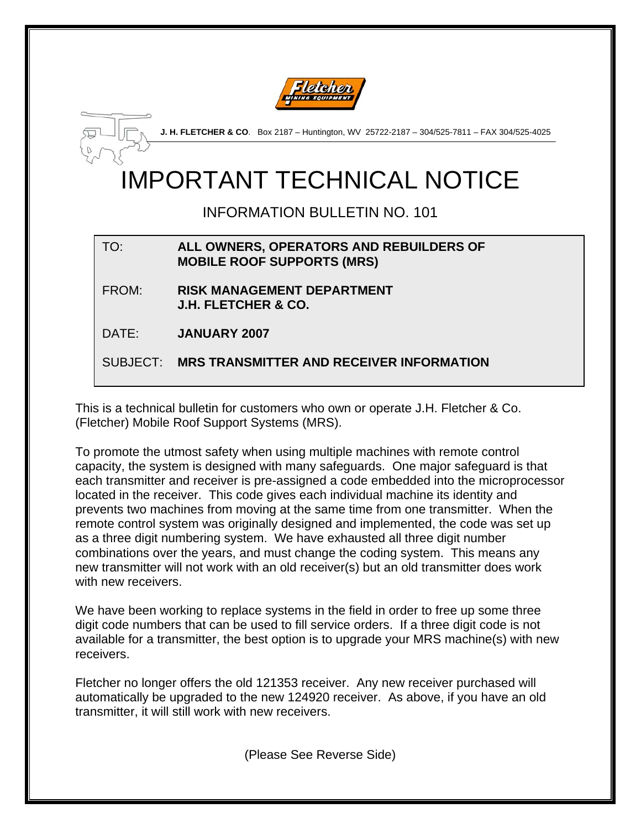



**J. H. FLETCHER & CO**. Box 2187 – Huntington, WV 25722-2187 – 304/525-7811 – FAX 304/525-4025

## IMPORTANT TECHNICAL NOTICE

INFORMATION BULLETIN NO. 101

## TO: **ALL OWNERS, OPERATORS AND REBUILDERS OF MOBILE ROOF SUPPORTS (MRS)**

FROM: **RISK MANAGEMENT DEPARTMENT J.H. FLETCHER & CO.** 

DATE: **JANUARY 2007** 

SUBJECT: **MRS TRANSMITTER AND RECEIVER INFORMATION** 

This is a technical bulletin for customers who own or operate J.H. Fletcher & Co. (Fletcher) Mobile Roof Support Systems (MRS).

To promote the utmost safety when using multiple machines with remote control capacity, the system is designed with many safeguards. One major safeguard is that each transmitter and receiver is pre-assigned a code embedded into the microprocessor located in the receiver. This code gives each individual machine its identity and prevents two machines from moving at the same time from one transmitter. When the remote control system was originally designed and implemented, the code was set up as a three digit numbering system. We have exhausted all three digit number combinations over the years, and must change the coding system. This means any new transmitter will not work with an old receiver(s) but an old transmitter does work with new receivers.

We have been working to replace systems in the field in order to free up some three digit code numbers that can be used to fill service orders. If a three digit code is not available for a transmitter, the best option is to upgrade your MRS machine(s) with new receivers.

Fletcher no longer offers the old 121353 receiver. Any new receiver purchased will automatically be upgraded to the new 124920 receiver. As above, if you have an old transmitter, it will still work with new receivers.

(Please See Reverse Side)